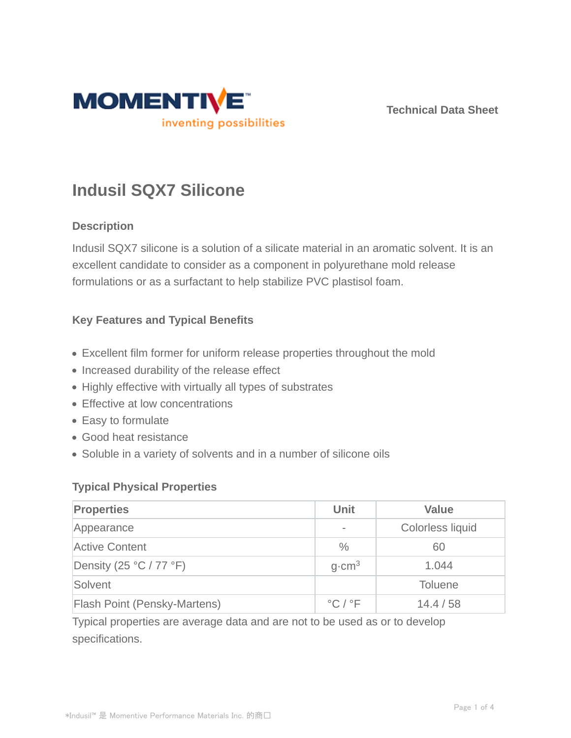

**Technical Data Sheet**

# **Indusil SQX7 Silicone**

## **Description**

Indusil SQX7 silicone is a solution of a silicate material in an aromatic solvent. It is an excellent candidate to consider as a component in polyurethane mold release formulations or as a surfactant to help stabilize PVC plastisol foam.

## **Key Features and Typical Benefits**

- Excellent film former for uniform release properties throughout the mold
- Increased durability of the release effect
- Highly effective with virtually all types of substrates
- Effective at low concentrations
- Easy to formulate
- Good heat resistance
- Soluble in a variety of solvents and in a number of silicone oils

## **Typical Physical Properties**

| <b>Properties</b>                         | <b>Unit</b>                 | <b>Value</b>     |
|-------------------------------------------|-----------------------------|------------------|
| Appearance                                |                             | Colorless liquid |
| <b>Active Content</b>                     | $\frac{0}{0}$               | 60               |
| Density (25 $\degree$ C / 77 $\degree$ F) | $q$ cm <sup>3</sup>         | 1.044            |
| Solvent                                   |                             | <b>Toluene</b>   |
| <b>Flash Point (Pensky-Martens)</b>       | $^{\circ}$ C / $^{\circ}$ F | 14.4/58          |

Typical properties are average data and are not to be used as or to develop specifications.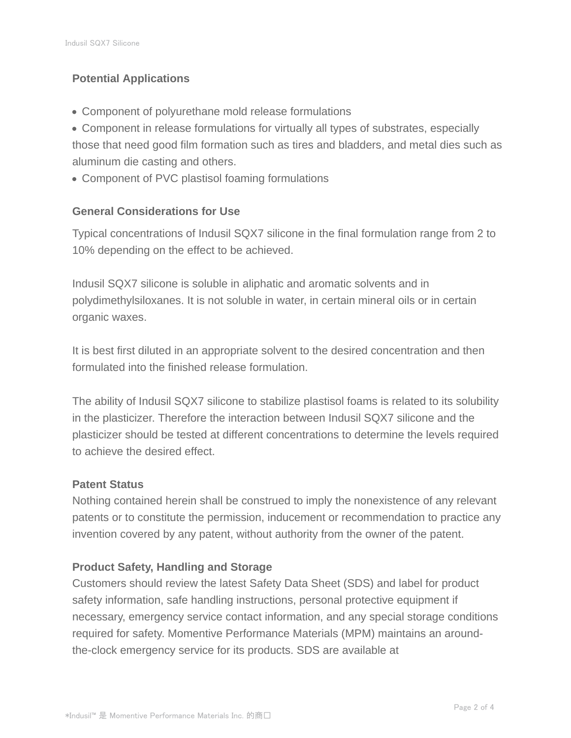# **Potential Applications**

- Component of polyurethane mold release formulations
- Component in release formulations for virtually all types of substrates, especially those that need good film formation such as tires and bladders, and metal dies such as aluminum die casting and others.
- Component of PVC plastisol foaming formulations

# **General Considerations for Use**

Typical concentrations of Indusil SQX7 silicone in the final formulation range from 2 to 10% depending on the effect to be achieved.

Indusil SQX7 silicone is soluble in aliphatic and aromatic solvents and in polydimethylsiloxanes. It is not soluble in water, in certain mineral oils or in certain organic waxes.

It is best first diluted in an appropriate solvent to the desired concentration and then formulated into the finished release formulation.

The ability of Indusil SQX7 silicone to stabilize plastisol foams is related to its solubility in the plasticizer. Therefore the interaction between Indusil SQX7 silicone and the plasticizer should be tested at different concentrations to determine the levels required to achieve the desired effect.

## **Patent Status**

Nothing contained herein shall be construed to imply the nonexistence of any relevant patents or to constitute the permission, inducement or recommendation to practice any invention covered by any patent, without authority from the owner of the patent.

## **Product Safety, Handling and Storage**

Customers should review the latest Safety Data Sheet (SDS) and label for product safety information, safe handling instructions, personal protective equipment if necessary, emergency service contact information, and any special storage conditions required for safety. Momentive Performance Materials (MPM) maintains an aroundthe-clock emergency service for its products. SDS are available at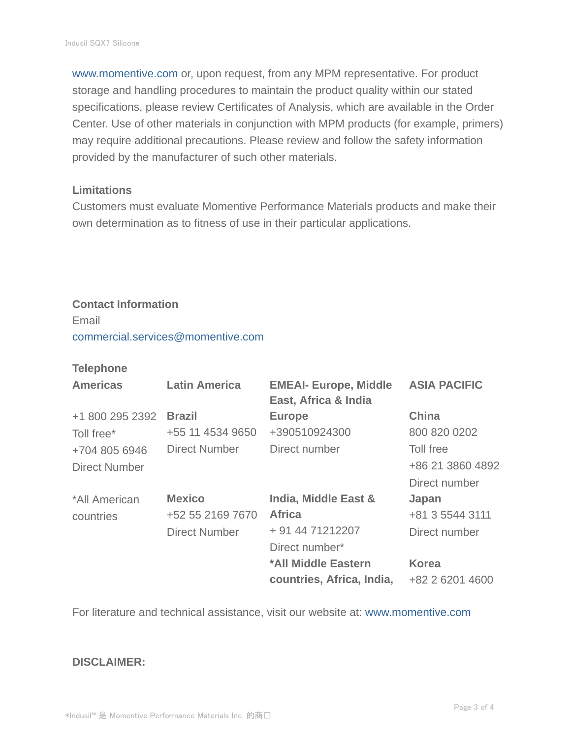www.momentive.com or, upon request, from any MPM representative. For product storage and handling procedures to maintain the product quality within our stated specifications, please review Certificates of Analysis, which are available in the Order Center. Use of other materials in conjunction with MPM products (for example, primers) may require additional precautions. Please review and follow the safety information provided by the manufacturer of such other materials.

#### **Limitations**

Customers must evaluate Momentive Performance Materials products and make their own determination as to fitness of use in their particular applications.

## **Contact Information** Email

commercial.services@momentive.com

#### **Telephone**

| <b>Americas</b> | <b>Latin America</b> | <b>EMEAI- Europe, Middle</b><br>East, Africa & India | <b>ASIA PACIFIC</b> |
|-----------------|----------------------|------------------------------------------------------|---------------------|
| +1 800 295 2392 | <b>Brazil</b>        | <b>Europe</b>                                        | <b>China</b>        |
| Toll free*      | +55 11 4534 9650     | +390510924300                                        | 800 820 0202        |
| +704 805 6946   | <b>Direct Number</b> | Direct number                                        | Toll free           |
| Direct Number   |                      |                                                      | +86 21 3860 4892    |
|                 |                      |                                                      | Direct number       |
| *All American   | <b>Mexico</b>        | <b>India, Middle East &amp;</b>                      | Japan               |
| countries       | +52 55 2169 7670     | <b>Africa</b>                                        | +81 3 5544 3111     |
|                 | <b>Direct Number</b> | + 91 44 71212207                                     | Direct number       |
|                 |                      | Direct number*                                       |                     |
|                 |                      | *All Middle Eastern                                  | <b>Korea</b>        |
|                 |                      | countries, Africa, India,                            | +82 2 6201 4600     |

For literature and technical assistance, visit our website at: www.momentive.com

#### **DISCLAIMER:**